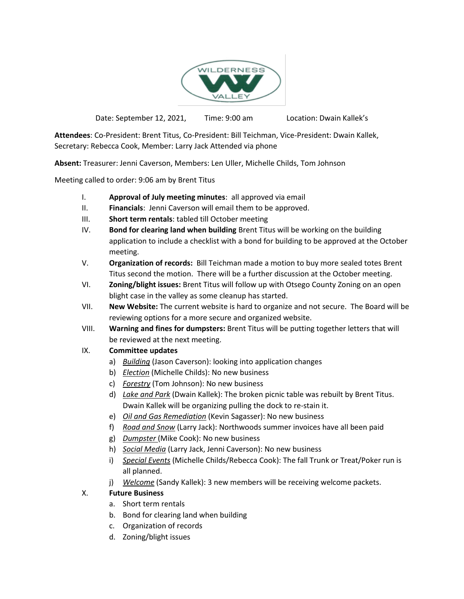

Date: September 12, 2021, Time: 9:00 am Location: Dwain Kallek's

**Attendees**: Co-President: Brent Titus, Co-President: Bill Teichman, Vice-President: Dwain Kallek, Secretary: Rebecca Cook, Member: Larry Jack Attended via phone

**Absent:** Treasurer: Jenni Caverson, Members: Len Uller, Michelle Childs, Tom Johnson

Meeting called to order: 9:06 am by Brent Titus

- I. **Approval of July meeting minutes**: all approved via email
- II. **Financials**: Jenni Caverson will email them to be approved.
- III. **Short term rentals**: tabled till October meeting
- IV. **Bond for clearing land when building** Brent Titus will be working on the building application to include a checklist with a bond for building to be approved at the October meeting.
- V. **Organization of records:** Bill Teichman made a motion to buy more sealed totes Brent Titus second the motion. There will be a further discussion at the October meeting.
- VI. **Zoning/blight issues:** Brent Titus will follow up with Otsego County Zoning on an open blight case in the valley as some cleanup has started.
- VII. **New Website:** The current website is hard to organize and not secure. The Board will be reviewing options for a more secure and organized website.
- VIII. **Warning and fines for dumpsters:** Brent Titus will be putting together letters that will be reviewed at the next meeting.

## IX. **Committee updates**

- a) *Building* (Jason Caverson): looking into application changes
- b) *Election* (Michelle Childs): No new business
- c) *Forestry* (Tom Johnson): No new business
- d) *Lake and Park* (Dwain Kallek): The broken picnic table was rebuilt by Brent Titus. Dwain Kallek will be organizing pulling the dock to re-stain it.
- e) *Oil and Gas Remediation* (Kevin Sagasser): No new business
- f) *Road and Snow* (Larry Jack): Northwoods summer invoices have all been paid
- g) *Dumpster* (Mike Cook): No new business
- h) *Social Media* (Larry Jack, Jenni Caverson): No new business
- i) *Special Events* (Michelle Childs/Rebecca Cook): The fall Trunk or Treat/Poker run is all planned.
- j) *Welcome* (Sandy Kallek): 3 new members will be receiving welcome packets.

## X. **Future Business**

- a. Short term rentals
- b. Bond for clearing land when building
- c. Organization of records
- d. Zoning/blight issues